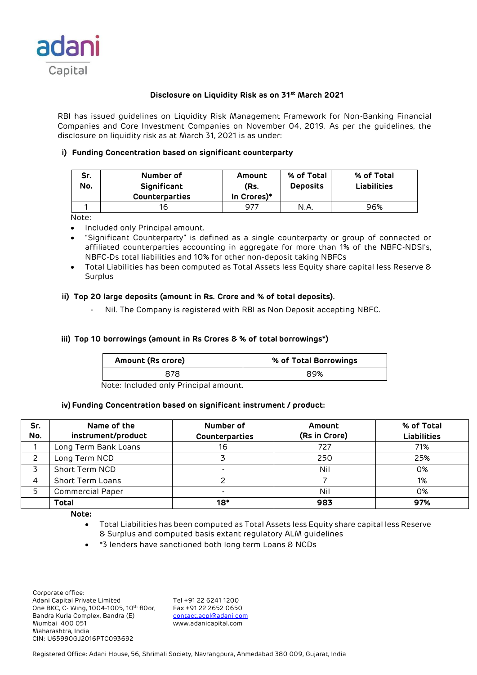

# **Disclosure on Liquidity Risk as on 31st March 2021**

RBI has issued guidelines on Liquidity Risk Management Framework for Non-Banking Financial Companies and Core Investment Companies on November 04, 2019. As per the guidelines, the disclosure on liquidity risk as at March 31, 2021 is as under:

## **i) Funding Concentration based on significant counterparty**

| Sr.<br>No. | Number of<br>Significant<br><b>Counterparties</b> | Amount<br>(Rs.<br>In Crores)* | % of Total<br><b>Deposits</b> | % of Total<br><b>Liabilities</b> |
|------------|---------------------------------------------------|-------------------------------|-------------------------------|----------------------------------|
|            | 16                                                | 977                           | N.A.                          | 96%                              |

Note:

- Included only Principal amount.
- "Significant Counterparty" is defined as a single counterparty or group of connected or affiliated counterparties accounting in aggregate for more than 1% of the NBFC-NDSI's, NBFC-Ds total liabilities and 10% for other non-deposit taking NBFCs
- Total Liabilities has been computed as Total Assets less Equity share capital less Reserve & Surplus

### **ii) Top 20 large deposits (amount in Rs. Crore and % of total deposits).**

Nil. The Company is registered with RBI as Non Deposit accepting NBFC.

## **iii) Top 10 borrowings (amount in Rs Crores & % of total borrowings\*)**

| Amount (Rs crore) | % of Total Borrowings |
|-------------------|-----------------------|
| 878               | 89%                   |

Note: Included only Principal amount.

#### **iv) Funding Concentration based on significant instrument / product:**

| Sr.<br>No. | Name of the<br>instrument/product | Number of<br>Counterparties | Amount<br>(Rs in Crore) | % of Total<br><b>Liabilities</b> |
|------------|-----------------------------------|-----------------------------|-------------------------|----------------------------------|
|            | Long Term Bank Loans              | 16                          | 727                     | 71%                              |
|            | Long Term NCD                     |                             | 250                     | 25%                              |
|            | Short Term NCD                    |                             | Nil                     | 0%                               |
|            | Short Term Loans                  |                             |                         | 1%                               |
| 5          | <b>Commercial Paper</b>           | $\overline{\phantom{0}}$    | Nil                     | 0%                               |
|            | <b>Total</b>                      | $18*$                       | 983                     | 97%                              |

**Note:** 

- Total Liabilities has been computed as Total Assets less Equity share capital less Reserve & Surplus and computed basis extant regulatory ALM guidelines
- \*3 lenders have sanctioned both long term Loans & NCDs

 Corporate office: Adani Capital Private Limited Tel +91 22 6241 1200<br>One BKC, C- Wing, 1004-1005, 10th floor, Fax +91 22 2652 0650 One BKC, C- Wing, 1004-1005, 10th fl0or, Bandra Kurla Complex, Bandra (E) [contact.acpl@adani.com](mailto:contact.acpl@adani.com) Mumbai 400 051 www.adanicapital.com Maharashtra, India CIN: U65990GJ2016PTC093692